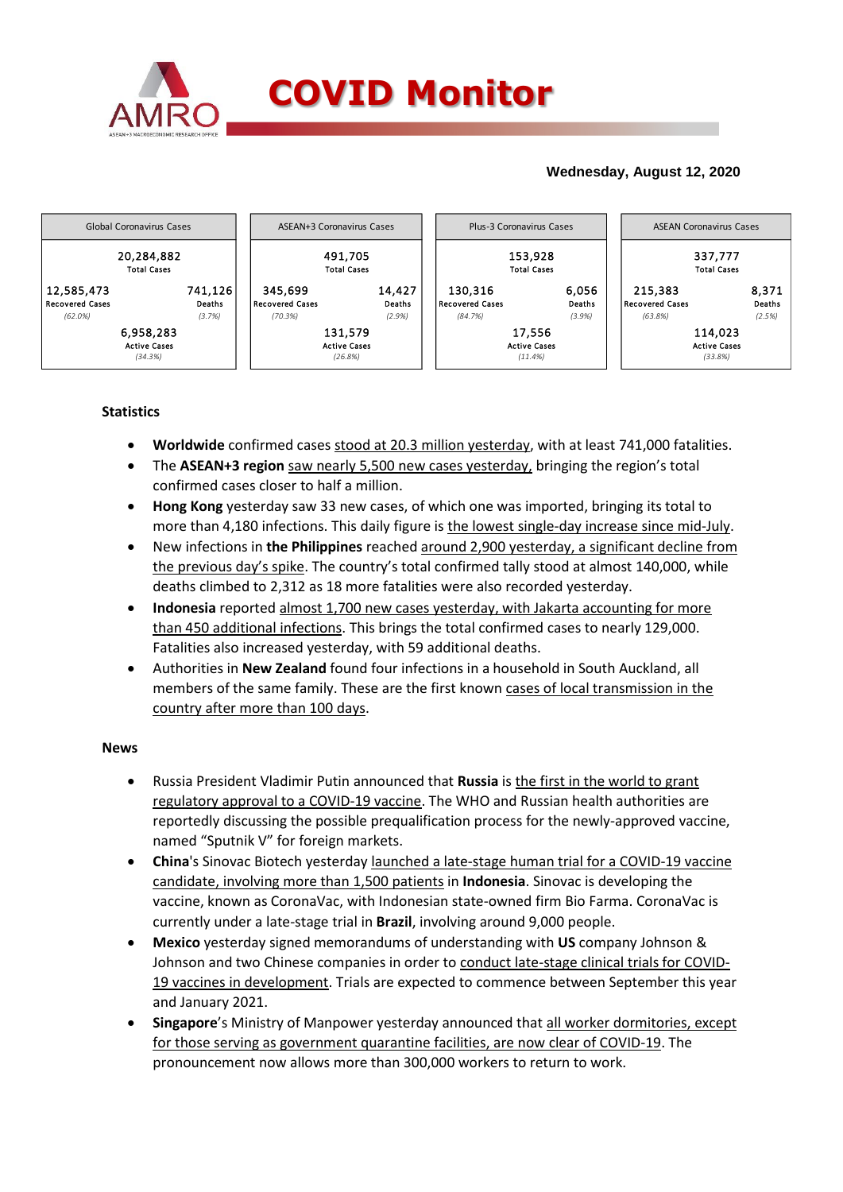

# **Wednesday, August 12, 2020**



# **Statistics**

- **Worldwide** confirmed cases stood at 20.3 million yesterday, with at least 741,000 fatalities.
- The **ASEAN+3 region** saw nearly 5,500 new cases yesterday, bringing the region's total confirmed cases closer to half a million.
- **Hong Kong** yesterday saw 33 new cases, of which one was imported, bringing its total to more than 4,180 infections. This daily figure is the lowest single-day increase since mid-July.
- New infections in **the Philippines** reached around 2,900 yesterday, a significant decline from the previous day's spike. The country's total confirmed tally stood at almost 140,000, while deaths climbed to 2,312 as 18 more fatalities were also recorded yesterday.
- **Indonesia** reported almost 1,700 new cases yesterday, with Jakarta accounting for more than 450 additional infections. This brings the total confirmed cases to nearly 129,000. Fatalities also increased yesterday, with 59 additional deaths.
- Authorities in **New Zealand** found four infections in a household in South Auckland, all members of the same family. These are the first known cases of local transmission in the country after more than 100 days.

### **News**

- Russia President Vladimir Putin announced that **Russia** is the first in the world to grant regulatory approval to a COVID-19 vaccine. The WHO and [Russian health authorities](https://asia.nikkei.com/Spotlight/Coronavirus/Russia-registers-first-COVID-vaccine-with-Putin-endorsement) are reportedly discussing the possible prequalification process for the newly-approved vaccine, named "Sputnik V" for foreign markets.
- **China**'s Sinovac Biotech yesterday launched a late-stage human trial for a COVID-19 vaccine candidate, involving more than 1,500 patients in **Indonesia**. Sinovac is developing the vaccine, known as CoronaVac, with Indonesian state-owned firm Bio Farma. CoronaVac is currently under a late-stage trial in **Brazil**, involving around 9,000 people.
- **Mexico** yesterday signed memorandums of understanding with **US** company Johnson & Johnson and two Chinese companies in order to conduct late-stage clinical trials for COVID-19 vaccines in development. Trials are expected to commence between September this year and January 2021.
- **Singapore**'s Ministry of Manpower yesterday announced that all worker dormitories, except for those serving as government quarantine facilities, are now clear of COVID-19. The pronouncement now allows more than 300,000 workers to return to work.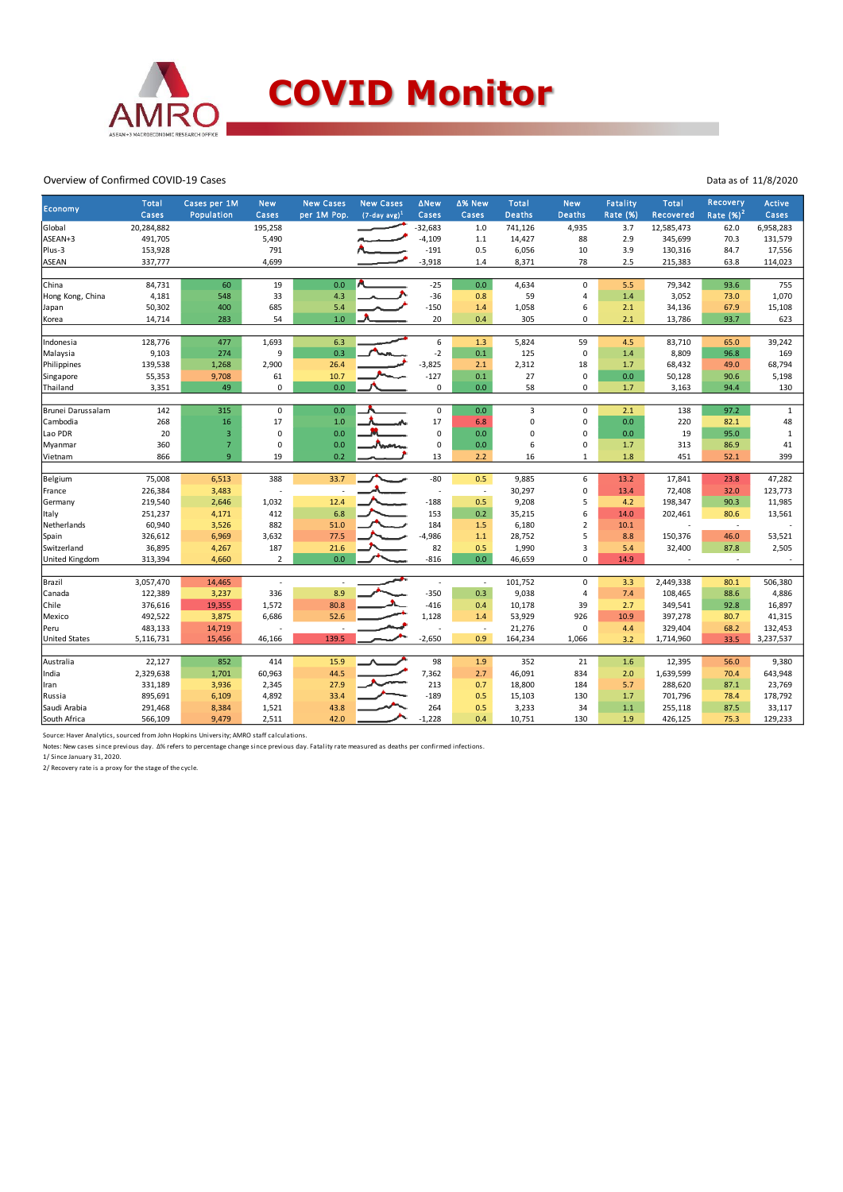

#### Overview of Confirmed COVID-19 Cases

| Economy              | Total      | Cases per 1M   | <b>New</b>     | <b>New Cases</b> | <b>New Cases</b> | <b>ANew</b> | ∆% New                   | <b>Total</b>  | <b>New</b>     | <b>Fatality</b> | Total            | Recovery                 | <b>Active</b> |
|----------------------|------------|----------------|----------------|------------------|------------------|-------------|--------------------------|---------------|----------------|-----------------|------------------|--------------------------|---------------|
|                      | Cases      | Population     | Cases          | per 1M Pop.      | $(7-day avg)^1$  | Cases       | Cases                    | <b>Deaths</b> | <b>Deaths</b>  | <b>Rate (%)</b> | <b>Recovered</b> | Rate $(\%)^2$            | Cases         |
| Global               | 20,284,882 |                | 195,258        |                  |                  | $-32,683$   | $1.0\,$                  | 741,126       | 4,935          | 3.7             | 12,585,473       | 62.0                     | 6,958,283     |
| ASEAN+3              | 491,705    |                | 5,490          |                  |                  | $-4,109$    | 1.1                      | 14,427        | 88             | 2.9             | 345,699          | 70.3                     | 131,579       |
| Plus-3               | 153,928    |                | 791            |                  |                  | $-191$      | 0.5                      | 6,056         | 10             | 3.9             | 130,316          | 84.7                     | 17,556        |
| ASEAN                | 337,777    |                | 4,699          |                  |                  | $-3,918$    | 1.4                      | 8,371         | 78             | 2.5             | 215,383          | 63.8                     | 114,023       |
|                      |            |                |                |                  |                  |             |                          |               |                |                 |                  |                          |               |
| China                | 84,731     | 60             | 19             | 0.0              |                  | $-25$       | 0.0                      | 4,634         | $\mathbf 0$    | 5.5             | 79,342           | 93.6                     | 755           |
| Hong Kong, China     | 4,181      | 548            | 33             | 4.3              |                  | $-36$       | 0.8                      | 59            | 4              | 1.4             | 3,052            | 73.0                     | 1,070         |
| Japan                | 50,302     | 400            | 685            | 5.4              |                  | $-150$      | 1.4                      | 1,058         | 6              | 2.1             | 34,136           | 67.9                     | 15,108        |
| Korea                | 14,714     | 283            | 54             | 1.0              |                  | 20          | 0.4                      | 305           | 0              | 2.1             | 13,786           | 93.7                     | 623           |
|                      |            |                |                |                  |                  |             |                          |               |                |                 |                  |                          |               |
| Indonesia            | 128,776    | 477            | 1,693          | 6.3              |                  | 6           | 1.3                      | 5,824         | 59             | 4.5             | 83,710           | 65.0                     | 39,242        |
| Malaysia             | 9,103      | 274            | 9              | 0.3              |                  | $-2$        | 0.1                      | 125           | $\mathbf 0$    | 1.4             | 8,809            | 96.8                     | 169           |
| Philippines          | 139,538    | 1,268          | 2,900          | 26.4             |                  | $-3,825$    | 2.1                      | 2,312         | 18             | 1.7             | 68,432           | 49.0                     | 68,794        |
| Singapore            | 55,353     | 9,708          | 61             | 10.7             |                  | $-127$      | 0.1                      | 27            | 0              | 0.0             | 50,128           | 90.6                     | 5,198         |
| Thailand             | 3,351      | 49             | 0              | 0.0              |                  | $\pmb{0}$   | 0.0                      | 58            | $\mathbf 0$    | 1.7             | 3,163            | 94.4                     | 130           |
|                      |            |                |                |                  |                  |             |                          |               |                |                 |                  |                          |               |
| Brunei Darussalam    | 142        | 315            | $\mathsf 0$    | 0.0              |                  | $\pmb{0}$   | 0.0                      | 3             | 0              | 2.1             | 138              | 97.2                     | $\mathbf{1}$  |
| Cambodia             | 268        | 16             | 17             | 1.0              |                  | 17          | 6.8                      | 0             | $\Omega$       | 0.0             | 220              | 82.1                     | 48            |
| Lao PDR              | 20         | 3              | 0              | 0.0              |                  | $\mathbf 0$ | 0.0                      | 0             | $\mathbf 0$    | 0.0             | 19               | 95.0                     | $\mathbf{1}$  |
| Myanmar              | 360        | $\overline{7}$ | $\mathsf 0$    | 0.0              |                  | $\mathbf 0$ | 0.0                      | 6             | $\pmb{0}$      | $1.7$           | 313              | 86.9                     | 41            |
| Vietnam              | 866        | 9              | 19             | 0.2              |                  | 13          | 2.2                      | 16            | $\mathbf{1}$   | 1.8             | 451              | 52.1                     | 399           |
|                      |            |                |                |                  |                  |             |                          |               |                |                 |                  |                          |               |
| Belgium              | 75,008     | 6,513          | 388            | 33.7             |                  | $-80$       | 0.5                      | 9,885         | 6              | 13.2            | 17,841           | 23.8                     | 47,282        |
| France               | 226,384    | 3,483          |                | $\sim$           |                  | ÷,          | $\overline{\phantom{a}}$ | 30,297        | 0              | 13.4            | 72,408           | 32.0                     | 123,773       |
| Germany              | 219,540    | 2,646          | 1,032          | 12.4             |                  | $-188$      | 0.5                      | 9,208         | 5              | 4.2             | 198,347          | 90.3                     | 11,985        |
| Italy                | 251,237    | 4,171          | 412            | 6.8              |                  | 153         | 0.2                      | 35,215        | 6              | 14.0            | 202,461          | 80.6                     | 13,561        |
| Netherlands          | 60,940     | 3,526          | 882            | 51.0             |                  | 184         | 1.5                      | 6,180         | $\overline{2}$ | 10.1            |                  | $\sim$                   |               |
| Spain                | 326,612    | 6,969          | 3,632          | 77.5             |                  | $-4,986$    | $1.1$                    | 28,752        | 5              | 8.8             | 150,376          | 46.0                     | 53,521        |
| Switzerland          | 36,895     | 4,267          | 187            | 21.6             |                  | 82          | 0.5                      | 1,990         | 3              | 5.4             | 32,400           | 87.8                     | 2,505         |
| United Kingdom       | 313,394    | 4,660          | $\overline{2}$ | 0.0              |                  | $-816$      | 0.0                      | 46,659        | 0              | 14.9            |                  | $\overline{\phantom{a}}$ |               |
|                      |            |                |                |                  |                  |             |                          |               |                |                 |                  |                          |               |
| Brazil               | 3,057,470  | 14,465         |                |                  | J.               |             | $\sim$                   | 101,752       | $\mathsf 0$    | 3.3             | 2,449,338        | 80.1                     | 506,380       |
| Canada               | 122,389    | 3,237          | 336            | 8.9              |                  | $-350$      | 0.3                      | 9,038         | $\overline{4}$ | 7.4             | 108,465          | 88.6                     | 4,886         |
| Chile                | 376,616    | 19,355         | 1,572          | 80.8             |                  | $-416$      | 0.4                      | 10,178        | 39             | 2.7             | 349,541          | 92.8                     | 16,897        |
| Mexico               | 492,522    | 3,875          | 6,686          | 52.6             |                  | 1,128       | 1.4                      | 53,929        | 926            | 10.9            | 397,278          | 80.7                     | 41,315        |
| Peru                 | 483,133    | 14,719         |                |                  |                  |             | $\overline{\phantom{a}}$ | 21,276        | $\mathbf 0$    | 4.4             | 329,404          | 68.2                     | 132,453       |
| <b>United States</b> | 5,116,731  | 15,456         | 46,166         | 139.5            |                  | $-2,650$    | 0.9                      | 164,234       | 1,066          | 3.2             | 1,714,960        | 33.5                     | 3,237,537     |
|                      |            |                |                |                  |                  |             |                          |               |                |                 |                  |                          |               |
| Australia            | 22,127     | 852            | 414            | 15.9             |                  | 98          | 1.9                      | 352           | 21             | 1.6             | 12,395           | 56.0                     | 9,380         |
| India                | 2,329,638  | 1,701          | 60,963         | 44.5             |                  | 7,362       | 2.7                      | 46,091        | 834            | 2.0             | 1,639,599        | 70.4                     | 643,948       |
| Iran                 | 331,189    | 3,936          | 2,345          | 27.9             |                  | 213         | 0.7                      | 18,800        | 184            | 5.7             | 288,620          | 87.1                     | 23,769        |
| Russia               | 895,691    | 6,109          | 4,892          | 33.4             |                  | $-189$      | 0.5                      | 15,103        | 130            | 1.7             | 701,796          | 78.4                     | 178,792       |
| Saudi Arabia         | 291,468    | 8,384          | 1,521          | 43.8             |                  | 264         | 0.5                      | 3,233         | 34             | $1.1$           | 255,118          | 87.5                     | 33,117        |
| South Africa         | 566,109    | 9,479          | 2,511          | 42.0             |                  | $-1,228$    | 0.4                      | 10,751        | 130            | 1.9             | 426,125          | 75.3                     | 129,233       |

Source: Haver Analytics, sourced from John Hopkins University; AMRO staff calculations.<br>Notes: New cases since previous day. Δ% refers to percentage change since previous day. Fatality rate measured as deaths per confirmed

1/ Since January 31, 2020. 2/ Recovery rate is a proxy for the stage of the cycle.

Data as of 11/8/2020